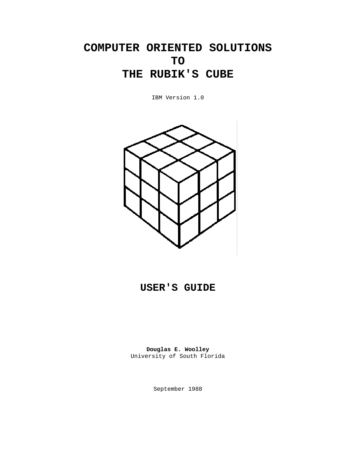# **COMPUTER ORIENTED SOLUTIONS TO THE RUBIK'S CUBE**

IBM Version 1.0



# **USER'S GUIDE**

**Douglas E. Woolley**  University of South Florida

September 1988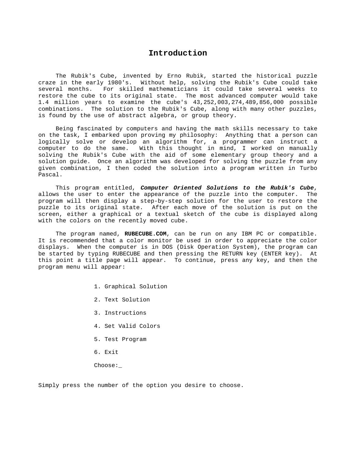#### **Introduction**

<span id="page-1-0"></span> The Rubik's Cube, invented by Erno Rubik, started the historical puzzle craze in the early 1980's. Without help, solving the Rubik's Cube could take several months. For skilled mathematicians it could take several weeks to restore the cube to its original state. The most advanced computer would take 1.4 million years to examine the cube's 43,252,003,274,489,856,000 possible combinations. The solution to the Rubik's Cube, along with many other puzzles, is found by the use of abstract algebra, or group theory.

 Being fascinated by computers and having the math skills necessary to take on the task, I embarked upon proving my philosophy: Anything that a person can logically solve or develop an algorithm for, a programmer can instruct a computer to do the same. With this thought in mind, I worked on manually solving the Rubik's Cube with the aid of some elementary group theory and a solution guide. Once an algorithm was developed for solving the puzzle from any given combination, I then coded the solution into a program written in Turbo Pascal.

 This program entitled, *Computer Oriented Solutions to the Rubik's Cube*, allows the user to enter the appearance of the puzzle into the computer. The program will then display a step-by-step solution for the user to restore the puzzle to its original state. After each move of the solution is put on the screen, either a graphical or a textual sketch of the cube is displayed along with the colors on the recently moved cube.

 The program named, **RUBECUBE.COM**, can be run on any IBM PC or compatible. It is recommended that a color monitor be used in order to appreciate the color displays. When the computer is in DOS (Disk Operation System), the program can be started by typing RUBECUBE and then pressing the RETURN key (ENTER key). At this point a title page will appear. To continue, press any key, and then the program menu will appear:

- 1. Graphical Solution
- 2. Text Solution
- 3. Instructions
- 4. Set Valid Colors
- 5. Test Program
- 6. Exit
- Choose:\_

Simply press the number of the option you desire to choose.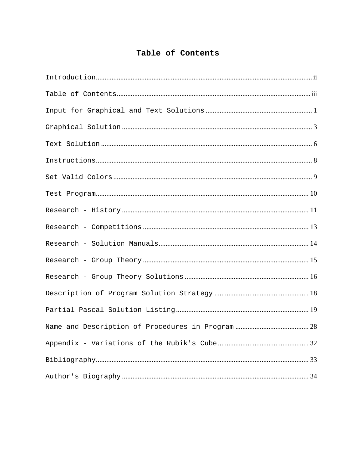## Table of Contents

<span id="page-2-0"></span>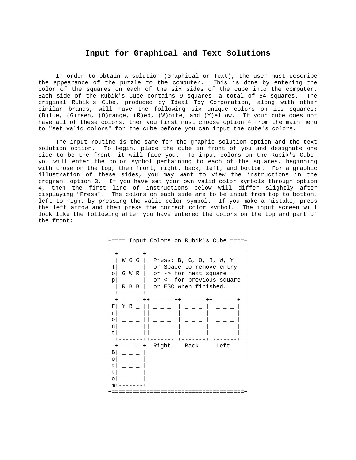#### **Input for Graphical and Text Solutions**

<span id="page-3-0"></span> In order to obtain a solution (Graphical or Text), the user must describe the appearance of the puzzle to the computer. This is done by entering the color of the squares on each of the six sides of the cube into the computer. Each side of the Rubik's Cube contains 9 squares--a total of 54 squares. The original Rubik's Cube, produced by Ideal Toy Corporation, along with other similar brands, will have the following six unique colors on its squares: (B)lue, (G)reen, (O)range, (R)ed, (W)hite, and (Y)ellow. If your cube does not have all of these colors, then you first must choose option 4 from the main menu to "set valid colors" for the cube before you can input the cube's colors.

 The input routine is the same for the graphic solution option and the text solution option. To begin, place the cube in front of you and designate one side to be the front--it will face you. To input colors on the Rubik's Cube, you will enter the color symbol pertaining to each of the squares, beginning with those on the top, then front, right, back, left, and bottom. For a graphic illustration of these sides, you may want to view the instructions in the program, option 3. If you have set your own valid color symbols through option 4, then the first line of instructions below will differ slightly after displaying "Press". The colors on each side are to be input from top to bottom, left to right by pressing the valid color symbol. If you make a mistake, press the left arrow and then press the correct color symbol. The input screen will look like the following after you have entered the colors on the top and part of the front:

| +==== Input Colors on Rubik's Cube ====+ |                           |            |      |
|------------------------------------------|---------------------------|------------|------|
|                                          |                           |            |      |
|                                          |                           |            |      |
| W G G                                    | Press: $B, G, O, R, W, Y$ |            |      |
| Т                                        | or Space to remove entry  |            |      |
| G W R<br>$\circ$                         | or -> for next square     |            |      |
| p                                        | or <- for previous square |            |      |
| R B B                                    | or ESC when finished.     |            |      |
| .                                        |                           |            |      |
|                                          | ------                    | $++------$ |      |
| Y R<br>F                                 |                           |            |      |
| r                                        |                           |            |      |
| $\circ$                                  |                           |            |      |
| n<br>t.                                  |                           |            |      |
|                                          | $- - - - -$               | ------     |      |
| $\,{}^+$                                 | Right                     | Back       | Left |
| Β                                        |                           |            |      |
| O                                        |                           |            |      |
| t.                                       |                           |            |      |
| t.                                       |                           |            |      |
|                                          |                           |            |      |
|                                          |                           |            |      |
| +===                                     |                           |            |      |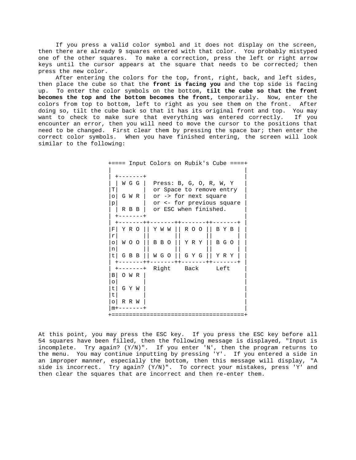If you press a valid color symbol and it does not display on the screen, then there are already 9 squares entered with that color. You probably mistyped one of the other squares. To make a correction, press the left or right arrow keys until the cursor appears at the square that needs to be corrected; then press the new color.

 After entering the colors for the top, front, right, back, and left sides, then place the cube so that the **front is facing you** and the top side is facing up. To enter the color symbols on the bottom, **tilt the cube so that the front becomes the top and the bottom becomes the front**, temporarily. Now, enter the colors from top to bottom, left to right as you see them on the front. After doing so, tilt the cube back so that it has its original front and top. You may want to check to make sure that everything was entered correctly. If you encounter an error, then you will need to move the cursor to the positions that need to be changed. First clear them by pressing the space bar; then enter the correct color symbols. When you have finished entering, the screen will look similar to the following:

> +==== Input Colors on Rubik's Cube ====+ | |  $+ - - - - - - +$ | | W G G | Press: B, G, O, R, W, Y | |T| | or Space to remove entry  $|o|$  G W R  $|$  or -> for next square  $|p|$  | or <- for previous square | R B B | or ESC when finished.  $+ - - - - - - +$ | +-------++-------++-------++-------+ | |F| Y R O || Y W W || R O O || B Y B | |  $|\mathbf{r}|$  || || || || || || || |o| W O O || B B O || Y R Y || B G O | |  $|n|$  || || || || || |t| G B B || W G O || G Y G || Y R Y | | | +-------++-------++-------++-------+ | | +-------+ Right Back Left | |B| O W R | | |o| | | t | G Y W |t| | | |o| R R W | |  $\frac{m+------+}$ +======================================+

At this point, you may press the ESC key. If you press the ESC key before all 54 squares have been filled, then the following message is displayed, "Input is incomplete. Try again? (Y/N)". If you enter 'N', then the program returns to the menu. You may continue inputting by pressing 'Y'. If you entered a side in an improper manner, especially the bottom, then this message will display, "A side is incorrect. Try again? (Y/N)". To correct your mistakes, press 'Y' and then clear the squares that are incorrect and then re-enter them.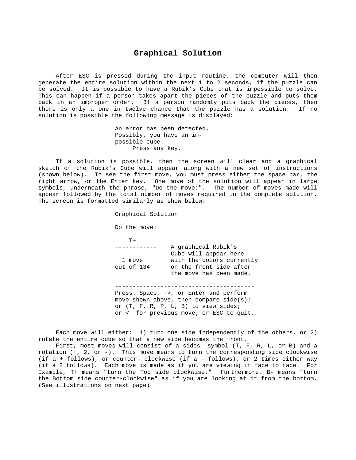#### **Graphical Solution**

<span id="page-5-0"></span> After ESC is pressed during the input routine, the computer will then generate the entire solution within the next 1 to 2 seconds, if the puzzle can be solved. It is possible to have a Rubik's Cube that is impossible to solve. This can happen if a person takes apart the pieces of the puzzle and puts them back in an improper order. If a person randomly puts back the pieces, then there is only a one in twelve chance that the puzzle has a solution. If no solution is possible the following message is displayed:

> An error has been detected. Possibly, you have an im possible cube. Press any key.

 If a solution is possible, then the screen will clear and a graphical sketch of the Rubik's Cube will appear along with a new set of instructions (shown below). To see the first move, you must press either the space bar, the right arrow, or the Enter key. One move of the solution will appear in large symbols, underneath the phrase, "Do the move:". The number of moves made will appear followed by the total number of moves required in the complete solution. The screen is formatted similarly as show below:

Graphical Solution

Do the move:

 $T^+$ 

 ------------ A graphical Rubik's Cube will appear here 1 move with the colors currently out of 134 on the front side after the move has been made.

 Press: Space, ->, or Enter and perform move shown above, then compare  $side(s)$ ; or (T, F, R, P, L, B) to view sides; or <- for previous move; or ESC to quit.

----------------------------------------

 Each move will either: 1) turn one side independently of the others, or 2) rotate the entire cube so that a new side becomes the front.

 First, most moves will consist of a sides' symbol (T, F, R, L, or B) and a rotation (+, 2, or -). This move means to turn the corresponding side clockwise (if a + follows), or counter- clockwise (if a - follows), or 2 times either way (if a 2 follows). Each move is made as if you are viewing it face to face. For Example, T+ means "turn the Top side clockwise." Furthermore, B- means "turn the Bottom side counter-clockwise" as if you are looking at it from the bottom. (See illustrations on next page)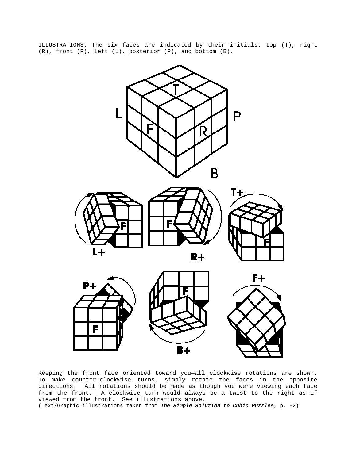ILLUSTRATIONS: The six faces are indicated by their initials: top (T), right  $(R)$ , front  $(F)$ , left  $(L)$ , posterior  $(P)$ , and bottom  $(B)$ .



Keeping the front face oriented toward you—all clockwise rotations are shown. To make counter-clockwise turns, simply rotate the faces in the opposite directions. All rotations should be made as though you were viewing each face from the front. A clockwise turn would always be a twist to the right as if viewed from the front. See illustrations above.

(Text/Graphic illustrations taken from *The Simple Solution to Cubic Puzzles*, p. 52)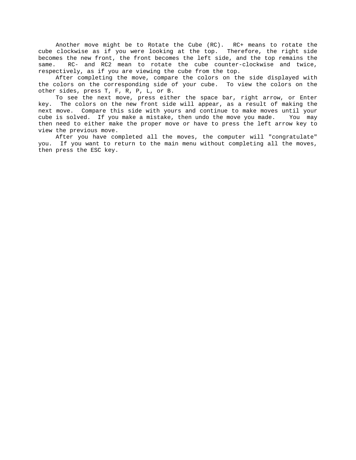Another move might be to Rotate the Cube (RC). RC+ means to rotate the cube clockwise as if you were looking at the top. Therefore, the right side becomes the new front, the front becomes the left side, and the top remains the same. RC- and RC2 mean to rotate the cube counter-clockwise and twice, respectively, as if you are viewing the cube from the top.

 After completing the move, compare the colors on the side displayed with the colors on the corresponding side of your cube. To view the colors on the other sides, press T, F, R, P, L, or B.

 To see the next move, press either the space bar, right arrow, or Enter key. The colors on the new front side will appear, as a result of making the next move. Compare this side with yours and continue to make moves until your cube is solved. If you make a mistake, then undo the move you made. You may then need to either make the proper move or have to press the left arrow key to view the previous move.

 After you have completed all the moves, the computer will "congratulate" you. If you want to return to the main menu without completing all the moves, then press the ESC key.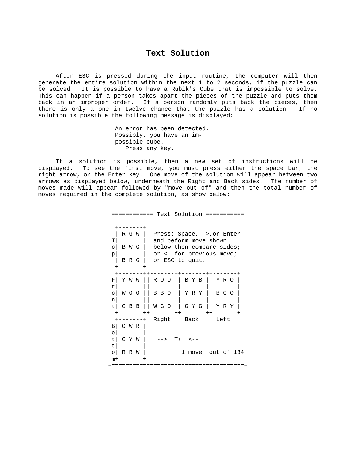#### **Text Solution**

<span id="page-8-0"></span> After ESC is pressed during the input routine, the computer will then generate the entire solution within the next 1 to 2 seconds, if the puzzle can be solved. It is possible to have a Rubik's Cube that is impossible to solve. This can happen if a person takes apart the pieces of the puzzle and puts them back in an improper order. If a person randomly puts back the pieces, then there is only a one in twelve chance that the puzzle has a solution. If no solution is possible the following message is displayed:

> An error has been detected. Possibly, you have an im possible cube. Press any key.

 If a solution is possible, then a new set of instructions will be displayed. To see the first move, you must press either the space bar, the right arrow, or the Enter key. One move of the solution will appear between two arrows as displayed below, underneath the Right and Back sides. The number of moves made will appear followed by "move out of" and then the total number of moves required in the complete solution, as show below:

| Text Solution<br>=======                                            |
|---------------------------------------------------------------------|
|                                                                     |
|                                                                     |
| R G W<br>Press: Space, ->, or Enter                                 |
| т<br>and peform move shown                                          |
| below then compare sides;<br>B W G<br>∩                             |
| or <- for previous move;<br>p                                       |
| or ESC to quit.<br>B R G                                            |
|                                                                     |
| -------++-------<br>$++--$<br>ROO II<br>BYB    YRO<br>F<br>Y W<br>W |
| r                                                                   |
| Y R Y<br>B G O<br>W O O<br>B B O<br>$\circ$                         |
| n                                                                   |
| WGO    GYG<br>Y R Y<br>G B B                                        |
| $- - + + - - -$                                                     |
| Right Back Left<br>$+ - - - - - - +$                                |
| O W R<br>В                                                          |
| $\circ$                                                             |
| G Y W<br>$T+$ $< -$<br>t.<br>$-->$                                  |
| t.                                                                  |
| 1 move out of 134<br>R R W                                          |
|                                                                     |
|                                                                     |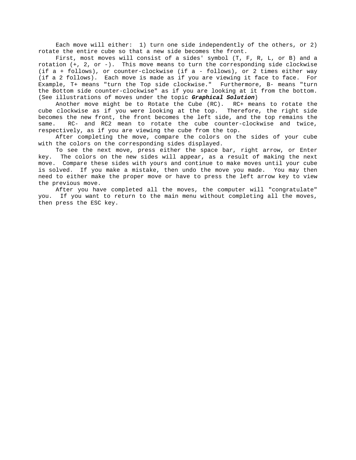Each move will either: 1) turn one side independently of the others, or 2) rotate the entire cube so that a new side becomes the front.

 First, most moves will consist of a sides' symbol (T, F, R, L, or B) and a rotation (+, 2, or -). This move means to turn the corresponding side clockwise (if a + follows), or counter-clockwise (if a - follows), or 2 times either way (if a 2 follows). Each move is made as if you are viewing it face to face. For Example, T+ means "turn the Top side clockwise." Furthermore, B- means "turn the Bottom side counter-clockwise" as if you are looking at it from the bottom. (See illustrations of moves under the topic *Graphical Solution*)

 Another move might be to Rotate the Cube (RC). RC+ means to rotate the cube clockwise as if you were looking at the top. Therefore, the right side becomes the new front, the front becomes the left side, and the top remains the same. RC- and RC2 mean to rotate the cube counter-clockwise and twice, respectively, as if you are viewing the cube from the top.

 After completing the move, compare the colors on the sides of your cube with the colors on the corresponding sides displayed.

 To see the next move, press either the space bar, right arrow, or Enter key. The colors on the new sides will appear, as a result of making the next move. Compare these sides with yours and continue to make moves until your cube is solved. If you make a mistake, then undo the move you made. You may then need to either make the proper move or have to press the left arrow key to view the previous move.

 After you have completed all the moves, the computer will "congratulate" you. If you want to return to the main menu without completing all the moves, then press the ESC key.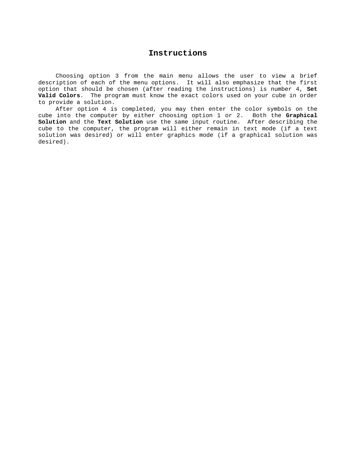## **Instructions**

<span id="page-10-0"></span> Choosing option 3 from the main menu allows the user to view a brief description of each of the menu options. It will also emphasize that the first option that should be chosen (after reading the instructions) is number 4, **Set Valid Colors**. The program must know the exact colors used on your cube in order to provide a solution.

 After option 4 is completed, you may then enter the color symbols on the cube into the computer by either choosing option 1 or 2. Both the **Graphical Solution** and the **Text Solution** use the same input routine. After describing the cube to the computer, the program will either remain in text mode (if a text solution was desired) or will enter graphics mode (if a graphical solution was desired).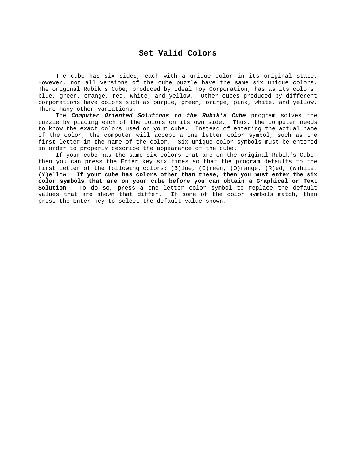## **Set Valid Colors**

<span id="page-11-0"></span> The cube has six sides, each with a unique color in its original state. However, not all versions of the cube puzzle have the same six unique colors. The original Rubik's Cube, produced by Ideal Toy Corporation, has as its colors, blue, green, orange, red, white, and yellow. Other cubes produced by different corporations have colors such as purple, green, orange, pink, white, and yellow. There many other variations.

 The *Computer Oriented Solutions to the Rubik's Cube* program solves the puzzle by placing each of the colors on its own side. Thus, the computer needs to know the exact colors used on your cube. Instead of entering the actual name of the color, the computer will accept a one letter color symbol, such as the first letter in the name of the color. Six unique color symbols must be entered in order to properly describe the appearance of the cube.

 If your cube has the same six colors that are on the original Rubik's Cube, then you can press the Enter key six times so that the program defaults to the first letter of the following colors: (B)lue, (G)reen, (O)range, (R)ed, (W)hite, (Y)ellow. **If your cube has colors other than these, then you must enter the six color symbols that are on your cube before you can obtain a Graphical or Text Solution.** To do so, press a one letter color symbol to replace the default values that are shown that differ. If some of the color symbols match, then press the Enter key to select the default value shown.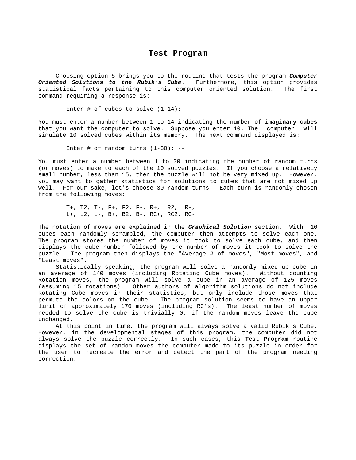#### **Test Program**

<span id="page-12-0"></span> Choosing option 5 brings you to the routine that tests the program *Computer Oriented Solutions to the Rubik's Cube*. Furthermore, this option provides statistical facts pertaining to this computer oriented solution. The first command requiring a response is:

Enter # of cubes to solve  $(1-14)$ : --

You must enter a number between 1 to 14 indicating the number of **imaginary cubes** that you want the computer to solve. Suppose you enter 10. The computer will simulate 10 solved cubes within its memory. The next command displayed is:

Enter # of random turns  $(1-30)$ : --

You must enter a number between 1 to 30 indicating the number of random turns (or moves) to make to each of the 10 solved puzzles. If you choose a relatively small number, less than 15, then the puzzle will not be very mixed up. However, you may want to gather statistics for solutions to cubes that are not mixed up well. For our sake, let's choose 30 random turns. Each turn is randomly chosen from the following moves:

 T+, T2, T-, F+, F2, F-, R+, R2, R-, L+, L2, L-, B+, B2, B-, RC+, RC2, RC-

The notation of moves are explained in the *Graphical Solution* section. With 10 cubes each randomly scrambled, the computer then attempts to solve each one. The program stores the number of moves it took to solve each cube, and then displays the cube number followed by the number of moves it took to solve the puzzle. The program then displays the "Average # of moves", "Most moves", and "Least moves".

 Statistically speaking, the program will solve a randomly mixed up cube in an average of 140 moves (including Rotating Cube moves). Without counting Rotation moves, the program will solve a cube in an average of 125 moves (assuming 15 rotations). Other authors of algorithm solutions do not include Rotating Cube moves in their statistics, but only include those moves that permute the colors on the cube. The program solution seems to have an upper limit of approximately 170 moves (including RC's). The least number of moves needed to solve the cube is trivially 0, if the random moves leave the cube unchanged.

 At this point in time, the program will always solve a valid Rubik's Cube. However, in the developmental stages of this program, the computer did not always solve the puzzle correctly. In such cases, this **Test Program** routine displays the set of random moves the computer made to its puzzle in order for the user to recreate the error and detect the part of the program needing correction.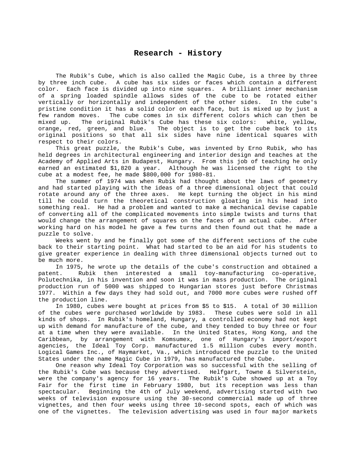<span id="page-13-0"></span> The Rubik's Cube, which is also called the Magic Cube, is a three by three by three inch cube. A cube has six sides or faces which contain a different color. Each face is divided up into nine squares. A brilliant inner mechanism of a spring loaded spindle allows sides of the cube to be rotated either vertically or horizontally and independent of the other sides. In the cube's pristine condition it has a solid color on each face, but is mixed up by just a few random moves. The cube comes in six different colors which can then be mixed up. The original Rubik's Cube has these six colors: white, yellow, orange, red, green, and blue. The object is to get the cube back to its original positions so that all six sides have nine identical squares with respect to their colors.

 This great puzzle, the Rubik's Cube, was invented by Erno Rubik, who has held degrees in architectural engineering and interior design and teaches at the Academy of Applied Arts in Budapest, Hungary. From this job of teaching he only earned an estimated \$1,820 a year. Although he was licensed the right to the cube at a modest fee, he made \$800,000 for 1980-81.

 The summer of 1974 was when Rubik had thought about the laws of geometry and had started playing with the ideas of a three dimensional object that could rotate around any of the three axes. He kept turning the object in his mind till he could turn the theoretical construction gloating in his head into something real. He had a problem and wanted to make a mechanical devise capable of converting all of the complicated movements into simple twists and turns that would change the arrangement of squares on the faces of an actual cube. After working hard on his model he gave a few turns and then found out that he made a puzzle to solve.

 Weeks went by and he finally got some of the different sections of the cube back to their starting point. What had started to be an aid for his students to give greater experience in dealing with three dimensional objects turned out to be much more.

 In 1975, he wrote up the details of the cube's construction and obtained a patent. Rubik then interested a small toy-manufacturing co-operative, Polutechnika, in his invention and soon it was in mass production. The original production run of 5000 was shipped to Hungarian stores just before Christmas 1977. Within a few days they had sold out, and 7000 more cubes were rushed off the production line.

 In 1980, cubes were bought at prices from \$5 to \$15. A total of 30 million of the cubes were purchased worldwide by 1983. These cubes were sold in all kinds of shops. In Rubik's homeland, Hungary, a controlled economy had not kept up with demand for manufacture of the cube, and they tended to buy three or four at a time when they were available. In the United States, Hong Kong, and the Caribbean, by arrangement with Komsumex, one of Hungary's import/export agencies, the Ideal Toy Corp. manufactured 1.5 million cubes every month. Logical Games Inc., of Haymarket, Va., which introduced the puzzle to the United States under the name Magic Cube in 1979, has manufactured the Cube.

 One reason why Ideal Toy Corporation was so successful with the selling of the Rubik's Cube was because they advertised. Helfgart, Towne & Silverstein, were the company's agency for 16 years. The Rubik's Cube showed up at a Toy Fair for the first time in February 1980, but its reception was less than spectacular. Beginning the 4th of July weekend, advertising started with two weeks of television exposure using the 30-second commercial made up of three vignettes, and then four weeks using three 10-second spots, each of which was one of the vignettes. The television advertising was used in four major markets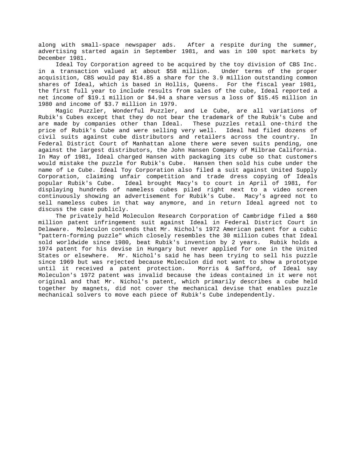along with small-space newspaper ads. After a respite during the summer, advertising started again in September 1981, and was in 100 spot markets by December 1981.

 Ideal Toy Corporation agreed to be acquired by the toy division of CBS Inc. in a transaction valued at about \$58 million. Under terms of the proper acquisition, CBS would pay \$14.85 a share for the 3.9 million outstanding common shares of Ideal, which is based in Hollis, Queens. For the fiscal year 1981, the first full year to include results from sales of the cube, Ideal reported a net income of \$19.1 million or \$4.94 a share versus a loss of \$15.45 million in 1980 and income of \$3.7 million in 1979.

 Magic Puzzler, Wonderful Puzzler, and Le Cube, are all variations of Rubik's Cubes except that they do not bear the trademark of the Rubik's Cube and are made by companies other than Ideal. These puzzles retail one-third the price of Rubik's Cube and were selling very well. Ideal had filed dozens of civil suits against cube distributors and retailers across the country. In Federal District Court of Manhattan alone there were seven suits pending, one against the largest distributors, the John Hansen Company of Milbrae California. In May of 1981, Ideal charged Hansen with packaging its cube so that customers would mistake the puzzle for Rubik's Cube. Hansen then sold his cube under the name of Le Cube. Ideal Toy Corporation also filed a suit against United Supply Corporation, claiming unfair competition and trade dress copying of Ideals popular Rubik's Cube. Ideal brought Macy's to court in April of 1981, for displaying hundreds of nameless cubes piled right next to a video screen continuously showing an advertisement for Rubik's Cube. Macy's agreed not to sell nameless cubes in that way anymore, and in return Ideal agreed not to discuss the case publicly.

 The privately held Moleculon Research Corporation of Cambridge filed a \$60 million patent infringement suit against Ideal in Federal District Court in Delaware. Moleculon contends that Mr. Nichol's 1972 American patent for a cubic "pattern-forming puzzle" which closely resembles the 30 million cubes that Ideal sold worldwide since 1980, beat Rubik's invention by 2 years. Rubik holds a 1974 patent for his devise in Hungary but never applied for one in the United States or elsewhere. Mr. Nichol's said he has been trying to sell his puzzle since 1969 but was rejected because Moleculon did not want to show a prototype until it received a patent protection. Morris & Safford, of Ideal say Moleculon's 1972 patent was invalid because the ideas contained in it were not original and that Mr. Nichol's patent, which primarily describes a cube held together by magnets, did not cover the mechanical devise that enables puzzle mechanical solvers to move each piece of Rubik's Cube independently.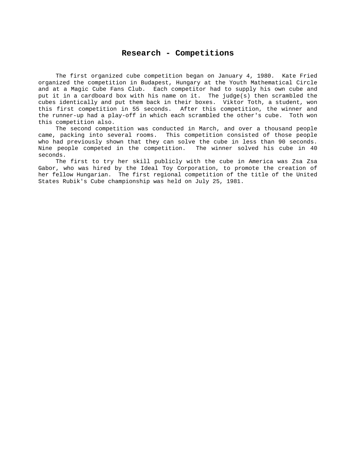#### **Research - Competitions**

<span id="page-15-0"></span> The first organized cube competition began on January 4, 1980. Kate Fried organized the competition in Budapest, Hungary at the Youth Mathematical Circle and at a Magic Cube Fans Club. Each competitor had to supply his own cube and put it in a cardboard box with his name on it. The judge(s) then scrambled the cubes identically and put them back in their boxes. Viktor Toth, a student, won this first competition in 55 seconds. After this competition, the winner and the runner-up had a play-off in which each scrambled the other's cube. Toth won this competition also.

 The second competition was conducted in March, and over a thousand people came, packing into several rooms. This competition consisted of those people who had previously shown that they can solve the cube in less than 90 seconds. Nine people competed in the competition. The winner solved his cube in 40 seconds.

 The first to try her skill publicly with the cube in America was Zsa Zsa Gabor, who was hired by the Ideal Toy Corporation, to promote the creation of her fellow Hungarian. The first regional competition of the title of the United States Rubik's Cube championship was held on July 25, 1981.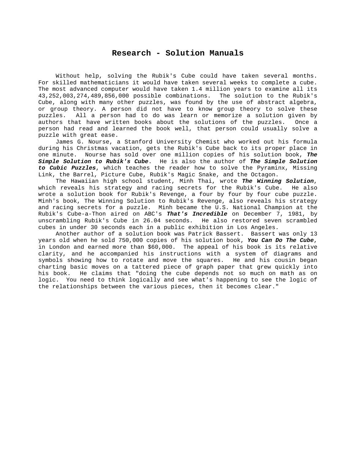#### **Research - Solution Manuals**

<span id="page-16-0"></span> Without help, solving the Rubik's Cube could have taken several months. For skilled mathematicians it would have taken several weeks to complete a cube. The most advanced computer would have taken 1.4 million years to examine all its 43,252,003,274,489,856,000 possible combinations. The solution to the Rubik's Cube, along with many other puzzles, was found by the use of abstract algebra, or group theory. A person did not have to know group theory to solve these puzzles. All a person had to do was learn or memorize a solution given by authors that have written books about the solutions of the puzzles. Once a person had read and learned the book well, that person could usually solve a puzzle with great ease.

 James G. Nourse, a Stanford University Chemist who worked out his formula during his Christmas vacation, gets the Rubik's Cube back to its proper place in one minute. Nourse has sold over one million copies of his solution book, *The Simple Solution to Rubik's Cube*. He is also the author of *The Simple Solution to Cubic Puzzles*, which teaches the reader how to solve the Pyraminx, Missing Link, the Barrel, Picture Cube, Rubik's Magic Snake, and the Octagon.

 The Hawaiian high school student, Minh Thai, wrote *The Winning Solution*, which reveals his strategy and racing secrets for the Rubik's Cube. He also wrote a solution book for Rubik's Revenge, a four by four by four cube puzzle. Minh's book, The Winning Solution to Rubik's Revenge, also reveals his strategy and racing secrets for a puzzle. Minh became the U.S. National Champion at the Rubik's Cube-a-Thon aired on ABC's *That's Incredible* on December 7, 1981, by unscrambling Rubik's Cube in 26.04 seconds. He also restored seven scrambled cubes in under 30 seconds each in a public exhibition in Los Angeles.

 Another author of a solution book was Patrick Bassert. Bassert was only 13 years old when he sold 750,000 copies of his solution book, *You Can Do The Cube*, in London and earned more than \$60,000. The appeal of his book is its relative clarity, and he accompanied his instructions with a system of diagrams and symbols showing how to rotate and move the squares. He and his cousin began charting basic moves on a tattered piece of graph paper that grew quickly into his book. He claims that "doing the cube depends not so much on math as on logic. You need to think logically and see what's happening to see the logic of the relationships between the various pieces, then it becomes clear."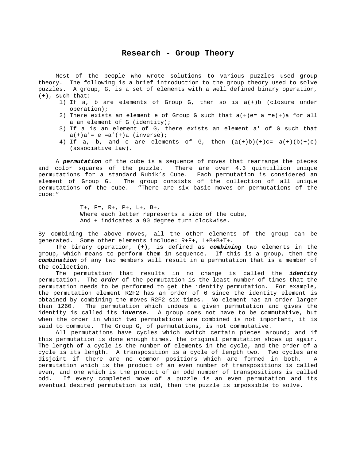#### **Research - Group Theory**

<span id="page-17-0"></span> Most of the people who wrote solutions to various puzzles used group theory. The following is a brief introduction to the group theory used to solve puzzles. A group, G, is a set of elements with a well defined binary operation, (+), such that:

- 1) If a, b are elements of Group G, then so is a(+)b (closure under operation);
- 2) There exists an element e of Group G such that  $a(+)e= a = e(+)a$  for all a an element of G (identity);
- 3) If a is an element of G, there exists an element a' of G such that  $a(+)a' = e = a'(+)a (inverse);$
- 4) If a, b, and c are elements of G, then  $(a(+)b)(+)c= a(+)(b(+)c)$ (associative law).

 A *permutation* of the cube is a sequence of moves that rearrange the pieces and color squares of the puzzle. There are over 4.3 quintillion unique permutations for a standard Rubik's Cube. Each permutation is considered an element of Group G. The group consists of the collection of all unique permutations of the cube. "There are six basic moves or permutations of the cube:"

> T+, F=, R+, P+, L+, B+, Where each letter represents a side of the cube, And + indicates a 90 degree turn clockwise.

By combining the above moves, all the other elements of the group can be generated. Some other elements include: R+F+, L+B+B+T+.

 The binary operation, **(+)**, is defined as *combining* two elements in the group, which means to perform them in sequence. If this is a group, then the *combination* of any two members will result in a permutation that is a member of the collection.

 The permutation that results in no change is called the *identity* permutation. The *order* of the permutation is the least number of times that the permutation needs to be performed to get the identity permutation. For example, the permutation element R2F2 has an order of 6 since the identity element is obtained by combining the moves R2F2 six times. No element has an order larger than 1260. The permutation which undoes a given permutation and gives the identity is called its *inverse*. A group does not have to be commutative, but when the order in which two permutations are combined is not important, it is said to commute. The Group G, of permutations, is not commutative.

 All permutations have cycles which switch certain pieces around; and if this permutation is done enough times, the original permutation shows up again. The length of a cycle is the number of elements in the cycle, and the order of a cycle is its length. A transposition is a cycle of length two. Two cycles are disjoint if there are no common positions which are formed in both. A permutation which is the product of an even number of transpositions is called even, and one which is the product of an odd number of transpositions is called odd. If every completed move of a puzzle is an even permutation and its eventual desired permutation is odd, then the puzzle is impossible to solve.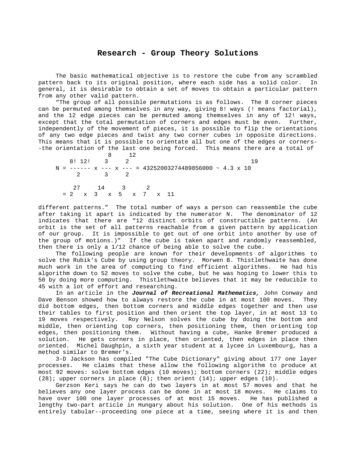#### **Research - Group Theory Solutions**

<span id="page-18-0"></span> The basic mathematical objective is to restore the cube from any scrambled pattern back to its original position, where each side has a solid color. In general, it is desirable to obtain a set of moves to obtain a particular pattern from any other valid pattern.

 "The group of all possible permutations is as follows. The 8 corner pieces can be permuted among themselves in any way, giving 8! ways (! means factorial), and the 12 edge pieces can be permuted among themselves in any of 12! ways, except that the total permutation of corners and edges must be even. Further, independently of the movement of pieces, it is possible to flip the orientations of any two edge pieces and twist any two corner cubes in opposite directions. This means that it is possible to orientate all but one of the edges or corners- -the orientation of the last one being forced. This means there are a total of

 8 12 8! 12! 3 2 19  $N =$  ------  $x$  ---  $x$  --- = 43252003274489856000 ~ 4.3  $x$  10<br>2 3 2 2 3 2 27 14 3 2 = 2 x 3 x 5 x 7 x 11

different patterns." The total number of ways a person can reassemble the cube after taking it apart is indicated by the numerator N. The denominator of 12 indicates that there are "12 distinct orbits of constructible patterns. (An orbit is the set of all patterns reachable from a given pattern by application of our group. It is impossible to get out of one orbit into another by use of the group of motions.)" If the cube is taken apart and randomly reassembled, then there is only a 1/12 chance of being able to solve the cube.

 The following people are known for their developments of algorithms to solve the Rubik's Cube by using group theory. Morwen B. Thistlethwaite has done much work in the area of computing to find efficient algorithms. He had his algorithm down to 52 moves to solve the cube, but he was hoping to lower this to 50 by doing more computing. Thistlethwaite believes that it may be reducible to 45 with a lot of effort and researching.

 In an article in the *Journal of Recreational Mathematics,* John Conway and Dave Benson showed how to always restore the cube in at most 100 moves. They did bottom edges, then bottom corners and middle edges together and then use their tables to first position and then orient the top layer, in at most 13 to 19 moves respectively. Roy Nelson solves the cube by doing the bottom and middle, then orienting top corners, then positioning them, then orienting top edges, then positioning them. Without having a cube, Hanke Bremer produced a solution. He gets corners in place, then oriented, then edges in place then oriented. Michel Daughpin, a sixth year student at a lycee in Luxembourg, has a method similar to Bremer's.

 3-D Jackson has compiled "The Cube Dictionary" giving about 177 one layer processes. He claims that these allow the following algorithm to produce at most 92 moves: solve bottom edges (10 moves); bottom corners (22); middle edges (28); upper corners in place (8); then orient (14); upper edges (10).

 Gerzson Keri says he can do two layers in at most 57 moves and that he believes any one layer process can be done in at most 18 moves. He claims to have over 100 one layer processes of at most 15 moves. He has published a lengthy two-part article in Hungary about his solution. One of his methods is entirely tabular--proceeding one piece at a time, seeing where it is and then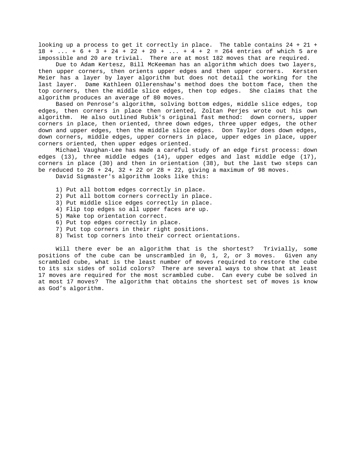looking up a process to get it correctly in place. The table contains 24 + 21 + 18 + ... + 6 + 3 + 24 + 22 + 20 + ... + 4 + 2 = 264 entries of which 5 are impossible and 20 are trivial. There are at most 182 moves that are required.

 Due to Adam Kertesz, Bill McKeeman has an algorithm which does two layers, then upper corners, then orients upper edges and then upper corners. Kersten Meier has a layer by layer algorithm but does not detail the working for the last layer. Dame Kathleen Ollerenshaw's method does the bottom face, then the top corners, then the middle slice edges, then top edges. She claims that the algorithm produces an average of 80 moves.

 Based on Penrose's algorithm, solving bottom edges, middle slice edges, top edges, then corners in place then oriented, Zoltan Perjes wrote out his own algorithm. He also outlined Rubik's original fast method: down corners, upper corners in place, then oriented, three down edges, three upper edges, the other down and upper edges, then the middle slice edges. Don Taylor does down edges, down corners, middle edges, upper corners in place, upper edges in place, upper corners oriented, then upper edges oriented.

 Michael Vaughan-Lee has made a careful study of an edge first process: down edges (13), three middle edges (14), upper edges and last middle edge (17), corners in place (30) and then in orientation (38), but the last two steps can be reduced to  $26 + 24$ ,  $32 + 22$  or  $28 + 22$ , giving a maximum of 98 moves. David Sigmaster's algorithm looks like this:

- 1) Put all bottom edges correctly in place.
- 2) Put all bottom corners correctly in place.
- 3) Put middle slice edges correctly in place.
- 4) Flip top edges so all upper faces are up.
- 5) Make top orientation correct.
- 6) Put top edges correctly in place.
- 7) Put top corners in their right positions.
- 8) Twist top corners into their correct orientations.

 Will there ever be an algorithm that is the shortest? Trivially, some positions of the cube can be unscrambled in 0, 1, 2, or 3 moves. Given any scrambled cube, what is the least number of moves required to restore the cube to its six sides of solid colors? There are several ways to show that at least 17 moves are required for the most scrambled cube. Can every cube be solved in at most 17 moves? The algorithm that obtains the shortest set of moves is know as God's algorithm.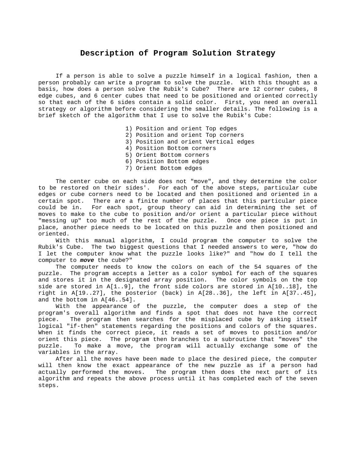#### **Description of Program Solution Strategy**

<span id="page-20-0"></span> If a person is able to solve a puzzle himself in a logical fashion, then a person probably can write a program to solve the puzzle. With this thought as a basis, how does a person solve the Rubik's Cube? There are 12 corner cubes, 8 edge cubes, and 6 center cubes that need to be positioned and oriented correctly so that each of the 6 sides contain a solid color. First, you need an overall strategy or algorithm before considering the smaller details. The following is a brief sketch of the algorithm that I use to solve the Rubik's Cube:

- 1) Position and orient Top edges
- 2) Position and orient Top corners
- 3) Position and orient Vertical edges
- 4) Position Bottom corners
- 5) Orient Bottom corners
- 6) Position Bottom edges
- 7) Orient Bottom edges

 The center cube on each side does not "move", and they determine the color to be restored on their sides'. For each of the above steps, particular cube edges or cube corners need to be located and then positioned and oriented in a certain spot. There are a finite number of places that this particular piece could be in. For each spot, group theory can aid in determining the set of moves to make to the cube to position and/or orient a particular piece without "messing up" too much of the rest of the puzzle. Once one piece is put in place, another piece needs to be located on this puzzle and then positioned and oriented.

 With this manual algorithm, I could program the computer to solve the Rubik's Cube. The two biggest questions that I needed answers to were, "how do I let the computer know what the puzzle looks like?" and "how do I tell the computer to *move* the cube?"

 The computer needs to know the colors on each of the 54 squares of the puzzle. The program accepts a letter as a color symbol for each of the squares and stores it in the designated array position. The color symbols on the top side are stored in  $A[1..9]$ , the front side colors are stored in  $A[10..18]$ , the right in A[19..27], the posterior (back) in A[28..36], the left in A[37..45], and the bottom in A[46..54].

 With the appearance of the puzzle, the computer does a step of the program's overall algorithm and finds a spot that does not have the correct piece. The program then searches for the misplaced cube by asking itself logical "if-then" statements regarding the positions and colors of the squares. When it finds the correct piece, it reads a set of moves to position and/or orient this piece. The program then branches to a subroutine that "moves" the puzzle. To make a move, the program will actually exchange some of the variables in the array.

 After all the moves have been made to place the desired piece, the computer will then know the exact appearance of the new puzzle as if a person had actually performed the moves. The program then does the next part of its algorithm and repeats the above process until it has completed each of the seven steps.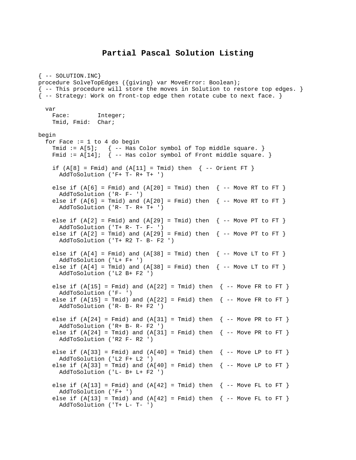#### **Partial Pascal Solution Listing**

```
\{- - SOLUTION.INC\}procedure SolveTopEdges ({giving} var MoveError: Boolean); 
{ -- This procedure will store the moves in Solution to restore top edges. } 
{ -- Strategy: Work on front-top edge then rotate cube to next face. } 
   var 
   Face: Integer;
    Tmid, Fmid: Char; 
begin 
  for Face := 1 to 4 do begin
    Tmid := A[5]; { -- Has Color symbol of Top middle square. }
   Fmid := A[14]; { -- Has color symbol of Front middle square. }
    if (A[8] = Fmid) and (A[11] = Tmid) then \{- Orient FT \} AddToSolution ('F+ T- R+ T+ ') 
    else if (A[6] = Find) and (A[20] = Tmid) then \{- - Move RT to FT }
       AddToSolution ('R- F- ') 
    else if (A[6] = Tmid) and (A[20] = Fmid) then \{- - Move RT to FT \} AddToSolution ('R- T- R+ T+ ') 
    else if (A[2] = Fmid) and (A[29] = Tmid) then \{- - Move PT to FT \}AddToSolution ('T+ R- T- F- ')
    else if (A[2] = Tmid) and (A[29] = Fmid) then \{- Move PT to FT \} AddToSolution ('T+ R2 T- B- F2 ') 
    else if (A[4] = Fmid) and (A[38] = Tmid) then \{- - Move LT to FT \} AddToSolution ('L+ F+ ') 
    else if (A[4] = Tmid) and (A[38] = Fmid) then \{- - Move LT to FT \} AddToSolution ('L2 B+ F2 ') 
    else if (A[15] = Find) and (A[22] = Find) then \{- - Move FR to FT }
       AddToSolution ('F- ') 
    else if (A[15] = Tmid) and (A[22] = Fmid) then \{- - Move FR to FT \} AddToSolution ('R- B- R+ F2 ') 
    else if (A[24] = Find) and (A[31] = Tmid) then \{- - Move PR to FT \} AddToSolution ('R+ B- R- F2 ') 
    else if (A[24] = Tmid) and (A[31] = Fmid) then \{- - Move PR to FT \} AddToSolution ('R2 F- R2 ') 
    else if (A[33] = Fmid) and (A[40] = Tmid) then \{- - Move LP to FT \} AddToSolution ('L2 F+ L2 ') 
    else if (A[33] = Tmid) and (A[40] = Fmid) then \{- - Move LP to FT \} AddToSolution ('L- B+ L+ F2 ') 
    else if (A[13] = Fmid) and (A[42] = Tmid) then \{- - Move FL to FT \} AddToSolution ('F+ ') 
   else if (A[13] = Tmid) and (A[42] = Fmid) then \{- - Move FL to FT \} AddToSolution ('T+ L- T- ')
```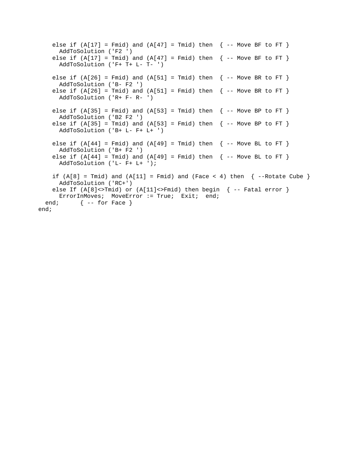else if  $(A[17] = Fmid)$  and  $(A[47] = Tmid)$  then  $\{- -$  Move BF to FT  $\}$  AddToSolution ('F2 ') else if  $(A[17] = Tmid)$  and  $(A[47] = Fmid)$  then  $\{- -$  Move BF to FT  $\}$  AddToSolution ('F+ T+ L- T- ') else if  $(A[26] = Find)$  and  $(A[51] = Third)$  then  $\{-$  Move BR to FT  $\}$  AddToSolution ('B- F2 ') else if  $(A[26] = Tmid)$  and  $(A[51] = Fmid)$  then  $\{- -$  Move BR to FT  $\}$  AddToSolution ('R+ F- R- ') else if  $(A[35] = Fmid)$  and  $(A[53] = Tmid)$  then  $\{- -$  Move BP to FT  $\}$  AddToSolution ('B2 F2 ') else if  $(A[35] = Tmid)$  and  $(A[53] = Fmid)$  then  $\{- -$  Move BP to FT  $\}$  AddToSolution ('B+ L- F+ L+ ') else if  $(A[44] = Fmid)$  and  $(A[49] = Tmid)$  then  $\{- -$  Move BL to FT  $\}$  AddToSolution ('B+ F2 ') else if  $(A[44] = Tmid)$  and  $(A[49] = Fmid)$  then  $\{- -$  Move BL to FT  $\}$  AddToSolution ('L- F+ L+ '); if  $(A[8] = Tmid)$  and  $(A[11] = Fmid)$  and  $(Face < 4)$  then  $\{-Rotate Cube\}$  AddToSolution ('RC+') else If  $(A[8]<>Tmid0)$  or  $(A[11]<>Fmid1$  then begin  $\{-$  Fatal error  $\}$ ErrorInMoves; MoveError := True; Exit; end; end;  $\{\text{-}-$  for Face  $\}$ end;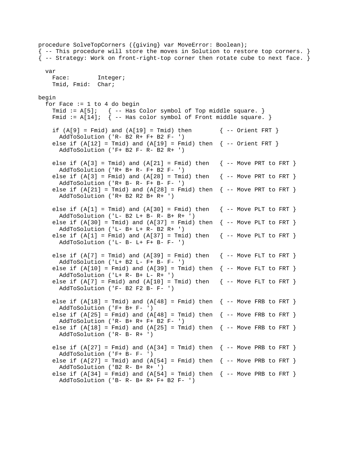procedure SolveTopCorners ({giving} var MoveError: Boolean); { -- This procedure will store the moves in Solution to restore top corners. } { -- Strategy: Work on front-right-top corner then rotate cube to next face. } var Face: Integer; Tmid, Fmid: Char; begin for Face  $:= 1$  to 4 do begin Tmid :=  $A[5]$ ; { -- Has Color symbol of Top middle square. } Fmid :=  $A[14]$ ; { -- Has color symbol of Front middle square. } if  $(A[9] = Find)$  and  $(A[19] = Tmid)$  then  $\{-$  Orient FRT } AddToSolution ('R- B2 R+ F+ B2 F- ') else if  $(A[12] = Tmid)$  and  $(A[19] = Fmid)$  then  $\{-$  - Orient FRT  $\}$  AddToSolution ('F+ B2 F- R- B2 R+ ') else if  $(A[3] = Tmid)$  and  $(A[21] = Fmid)$  then  $\{- -$  Move PRT to FRT  $\}$  AddToSolution ('R+ B+ R- F+ B2 F- ') else if  $(A[3] = \text{Fmid})$  and  $(A[28] = \text{Tmid})$  then  $\{-$  Move PRT to FRT  $\}$  AddToSolution ('R+ B- R- F+ B- F- ') else if  $(A[21] = Tmid)$  and  $(A[28] = Fmid)$  then  $\{-$  Move PRT to FRT  $\}$  AddToSolution ('R+ B2 R2 B+ R+ ') else if  $(A[1] = Tmid)$  and  $(A[30] = Fmid)$  then  $\{- -$  Move PLT to FRT  $\}$ AddToSolution ('L- B2 L+ B- R- B+ R+ ') else if  $(A[30] = Tmid)$  and  $(A[37] = Fmid)$  then  $\{-$  Move PLT to FRT  $\}$  AddToSolution ('L- B+ L+ R- B2 R+ ') else if  $(A[1] = Fmid)$  and  $(A[37] = Tmid)$  then  $\{- -$  Move PLT to FRT  $\}$  AddToSolution ('L- B- L+ F+ B- F- ') else if  $(A[7] = Tmid)$  and  $(A[39] = Fmid)$  then  $\{- -$  Move FLT to FRT  $\}$  AddToSolution ('L+ B2 L- F+ B- F- ') else if  $(A[10] = Fmid)$  and  $(A[39] = Tmid)$  then  $\{- -$  Move FLT to FRT  $\}$  AddToSolution ('L+ R- B+ L- R+ ') else if  $(A[7] = Find)$  and  $(A[10] = Tmid)$  then  $\{-$  Move FLT to FRT  $\}$  AddToSolution ('F- B2 F2 B- F- ') else if  $(A[18] = Tmid)$  and  $(A[48] = Fmid)$  then  $\{-$  Move FRB to FRT  $\}$  AddToSolution ('F+ B+ F- ') else if  $(A[25] = Fmid)$  and  $(A[48] = Tmid)$  then  $\{- -$  Move FRB to FRT  $\}$  AddToSolution ('R- B+ R+ F+ B2 F- ') else if  $(A[18] = Find)$  and  $(A[25] = Tmid)$  then  $\{- -$  Move FRB to FRT } AddToSolution ('R- B- R+ ') else if  $(A[27] = Fmid)$  and  $(A[34] = Tmid)$  then  $\{- -$  Move PRB to FRT  $\}$  AddToSolution ('F+ B- F- ') else if  $(A[27] = Tmid)$  and  $(A[54] = Fmid)$  then  $\{- -$  Move PRB to FRT  $\}$  AddToSolution ('B2 R- B+ R+ ') else if  $(A[34] = Fmid)$  and  $(A[54] = Tmid)$  then  $\{- -$  Move PRB to FRT  $\}$ AddToSolution ('B- R- B+ R+ F+ B2 F- ')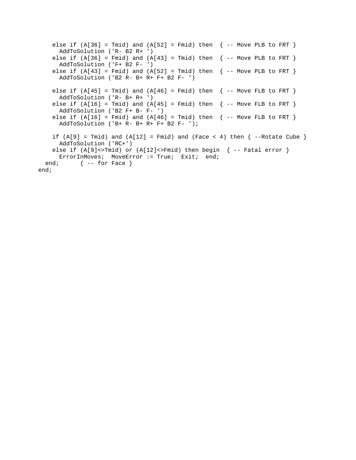```
else if (A[36] = Tmid) and (A[52] = Fmid) then \{- - Move PLB to FRT \} AddToSolution ('R- B2 R+ ') 
   else if (A[36] = Fmid) and (A[43] = Tmid) then \{- - Move PLB to FRT }
      AddToSolution ('F+ B2 F- ') 
   else if (A[43] = Fmid) and (A[52] = Tmid) then \{- - Move PLB to FRT \} AddToSolution ('B2 R- B+ R+ F+ B2 F- ') 
   else if (A[45] = Tmid) and (A[46] = Fmid) then \{- - Move FLB to FRT \} AddToSolution ('R- B+ R+ ') 
   else if (A[16] = Tmid) and (A[45] = Fmid) then \{- - Move FLB to FRT \} AddToSolution ('B2 F+ B- F- ') 
   else if (A[16] = Fmid) and (A[46] = Tmid) then \{- - Move FLB to FRT \} AddToSolution ('B+ R- B+ R+ F+ B2 F- '); 
   if (A[9] = Tmid) and (A[12] = Fmid) and (Face < 4) then \{-Rotate Cube\} AddToSolution ('RC+') 
   else if (A[9]<sub>5</sub>ErrorInMoves; MoveError := True; Exit; end;
 end; \{\text{-}- for Face \}end;
```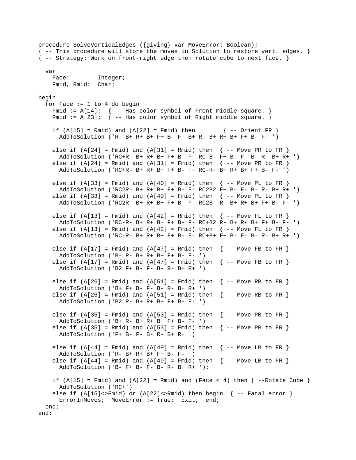procedure SolveVerticalEdges ({giving} var MoveError: Boolean); { -- This procedure will store the moves in Solution to restore vert. edges. }  $\{-\}$  -- Strategy: Work on front-right edge then rotate cube to next face.  $\}$  var Face: Integer; Fmid, Rmid: Char; begin for Face  $:= 1$  to 4 do begin Fmid :=  $A[14]$ ; { -- Has color symbol of Front middle square. } Rmid :=  $A[23]$ ;  $\{-$  Has color symbol of Right middle square. } if  $(A[15] = Rmid)$  and  $(A[22] = Fmid)$  then  $\{-$  Orient FR } AddToSolution ('R- B+ R+ B+ F+ B- F- B+ R- B+ R+ B+ F+ B- F- ') else if  $(A[24] = Fmid)$  and  $(A[31] = Rmid)$  then  $\{- -$  Move PR to FR  $\}$  AddToSolution ('RC+R- B+ R+ B+ F+ B- F- RC-B- F+ B- F- B- R- B+ R+ ') else if  $(A[24] = Rmid)$  and  $(A[31] = Fmid)$  then  $\{- -$  Move PR to FR  $\}$  AddToSolution ('RC+R- B+ R+ B+ F+ B- F- RC-R- B+ R+ B+ F+ B- F- ') else if  $(A[33] = Find)$  and  $(A[40] = Rmid)$  then  $\{- -$  Move PL to FR  $\}$  AddToSolution ('RC2R- B+ R+ B+ F+ B- F- RC2B2 F+ B- F- B- R- B+ R+ ') else if  $(A[33] = Rmid)$  and  $(A[40] = Fmid)$  then  $\{- -$  Move PL to FR  $\}$  AddToSolution ('RC2R- B+ R+ B+ F+ B- F- RC2B- R- B+ R+ B+ F+ B- F- ') else if  $(A[13] = Fmid)$  and  $(A[42] = Rmid)$  then  $\{- -$  Move FL to FR  $\}$  AddToSolution ('RC-R- B+ R+ B+ F+ B- F- RC+B2 R- B+ R+ B+ F+ B- F- ') else if  $(A[13] = Rmid)$  and  $(A[42] = Fmid)$  then  $\{- -$  Move FL to FR  $\}$  AddToSolution ('RC-R- B+ R+ B+ F+ B- F- RC+B+ F+ B- F- B- R- B+ R+ ') else if  $(A[17] = Fmid)$  and  $(A[47] = Rmid)$  then  $\{- -$  Move FB to FR  $\}$  AddToSolution ('B- R- B+ R+ B+ F+ B- F- ') else if  $(A[17] = Rmid)$  and  $(A[47] = Fmid)$  then  $\{- -$  Move FB to FR  $\}$  AddToSolution ('B2 F+ B- F- B- R- B+ R+ ') else if  $(A[26] = Rmid)$  and  $(A[51] = Fmid)$  then  $\{- -$  Move RB to FR } AddToSolution ('B+ F+ B- F- B- R- B+ R+ ') else if  $(A[26] = Find)$  and  $(A[51] = Rmid)$  then  $\{- -$  Move RB to FR  $\}$  AddToSolution ('B2 R- B+ R+ B+ F+ B- F- ') else if  $(A[35] = Fmid)$  and  $(A[53] = Rmid)$  then  $\{- -$  Move PB to FR  $\}$  AddToSolution ('B+ R- B+ R+ B+ F+ B- F- ') else if  $(A[35] = Rmid)$  and  $(A[53] = Fmid)$  then  $\{- -$  Move PB to FR  $\}$  AddToSolution ('F+ B- F- B- R- B+ R+ ') else if  $(A[44] = Fmid)$  and  $(A[49] = Rmid)$  then  $\{- -$  Move LB to FR  $\}$  AddToSolution ('R- B+ R+ B+ F+ B- F- ') else if  $(A[44] = Rmid)$  and  $(A[49] = Fmid)$  then  $\{- -$  Move LB to FR  $\}$  AddToSolution ('B- F+ B- F- B- R- B+ R+ '); if  $(A[15] = Fmid)$  and  $(A[22] = Rmid)$  and  $(Face < 4)$  then  $\{-Rotate Cube\}$  AddToSolution ('RC+') else if  $(A[15]<sup>2</sup>$  and  $(A[22]<sup>2</sup>$  and  $A[22]$  (here  $A[22]$  and  $A[22]$  and  $A[22]$  and  $A[22]$  and  $A[22]$  and  $A[22]$  and  $A[22]$  and  $A[22]$  and  $A[22]$  and  $A[22]$  and  $A[22]$  and  $A[22]$  and  $A[22]$  and  $A[22]$ ErrorInMoves; MoveError := True; Exit; end; end; end;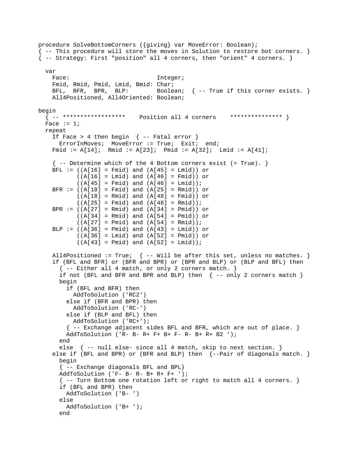```
procedure SolveBottomCorners ({giving} var MoveError: Boolean); 
{ -- This procedure will store the moves in Solution to restore bot corners. } 
{ -- Strategy: First "position" all 4 corners, then "orient" 4 corners. } 
   var 
   Face: Integer;
    Fmid, Rmid, Pmid, Lmid, Bmid: Char; 
   BFL, BFR, BPR, BLP: Boolean; \{-- True if this corner exists. \} All4Positioned, All4Oriented: Boolean; 
begin<br>{ -- *******************
                            Position all 4 corners *************** }
 Face := 1; repeat 
    If Face > 4 then begin \{- - Fatal error \}ErrorInMoves; MoveError := True; Exit; end;
     Fmid := A[14]; Rmid := A[23]; Pmid := A[32]; Lmid := A[41]; 
    \{-- Determine which of the 4 Bottom corners exist ( = True). \}BFL := ((A[16] = Find) and (A[45] = Lmid) or
           ((A[16] = Lmid) and (A[46] = Fmid) or
           ((A[45] = Find) and (A[46] = Lind));
    BFR := ((A[18] = Fmid) and (A[25] = Rmid) or
           ((A[18] = Rmid) and (A[48] = Fmid) or
           ((A[25] = Find) and (A[48] = Rmid);
    BPR := ((A[27] = Rmid) and (A[34] = Pmid) or
           ((A[34] = Rmid) and (A[54] = Pmid) or
           ((A[27] = Pmid) and (A[54] = Rmid);
    BLP := ((A[36] = Pmid) and (A[43] = Lmid) or
           ((A[36] = Lind) and (A[52] = Pmid) or
           ((A[43] = Pmid) and (A[52] = Lmid);
    All4Positioned := True; \{ -- Will be after this set, unless no matches. \} if (BFL and BFR) or (BFR and BPR) or (BPR and BLP) or (BLP and BFL) then 
      \{- - Either all 4 match, or only 2 corners match. }
      if not (BFL and BFR and BPR and BLP) then \{ -- only 2 corners match \} begin 
         if (BFL and BFR) then 
          AddToSolution ('RC2') 
         else if (BFR and BPR) then 
           AddToSolution ('RC-') 
         else if (BLP and BFL) then 
           AddToSolution ('RC+'); 
        \{-- Exchange adjacent sides BFL and BFR, which are out of place. }
         AddToSolution ('R- B- R+ F+ B+ F- R- B+ R+ B2 '); 
       end 
       else { -- null else- since all 4 match, skip to next section. } 
    else if (BFL and BPR) or (BFR and BLP) then \{-Pair \text{ of diagonals match. }\} begin 
       { -- Exchange diagonals BFL and BPL} 
       AddToSolution ('F- B- R- B+ R+ F+ '); 
       { -- Turn Bottom one rotation left or right to match all 4 corners. } 
       if (BFL and BPR) then 
         AddToSolution ('B- ') 
       else 
         AddToSolution ('B+ '); 
       end
```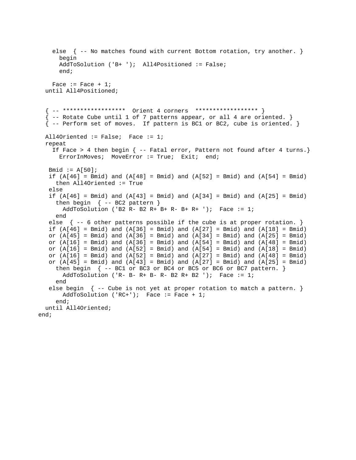```
else \{ -- No matches found with current Bottom rotation, try another. \} begin 
      AddToSolution ('B+ '); All4Positioned := False; 
      end; 
   Face := Face +1i until All4Positioned; 
   { -- ****************** Orient 4 corners ****************** } 
  \{ -- Rotate Cube until 1 of 7 patterns appear, or all 4 are oriented. \} { -- Perform set of moves. If pattern is BC1 or BC2, cube is oriented. } 
  All4Oriented := False; Face := 1; 
   repeat 
     If Face > 4 then begin { -- Fatal error, Pattern not found after 4 turns.} 
     ErrorInMoves; MoveError := True; Exit; end;
   Bmid := A[50];
   if (A[46] = Bmid) and (A[48] = Bmid) and (A[52] = Bmid) and (A[54] = Bmid) then All4Oriented := True 
    else 
   if (A[46] = Bmid) and (A[43] = Bmid) and (A[34] = Bmid) and (A[25] = Bmid)then begin \{- - BC2 pattern \}AddToSolution ('B2 R- B2 R+ B+ R- B+ R+ '); Face := 1;
     end 
   else \{ -5 other patterns possible if the cube is at proper rotation. \}if (A[46] = Bmid) and (A[36] = Bmid) and (A[27] = Bmid) and (A[18] = Bmid)or (A[45] = Bmid) and (A[36] = Bmid) and (A[34] = Bmid) and (A[25] = Bmid)or (A[16] = Bmid) and (A[36] = Bmid) and (A[54] = Bmid) and (A[48] = Bmid)or (A[16] = Bmid) and (A[52] = Bmid) and (A[54] = Bmid) and (A[18] = Bmid)or (A[16] = Bmid) and (A[52] = Bmid) and (A[27] = Bmid) and (A[48] = Bmid)or (A[45] = Bmid) and (A[43] = Bmid) and (A[27] = Bmid) and (A[25] = Bmid)then begin \{ -- BC1 or BC3 or BC4 or BC5 or BC6 or BC7 pattern. \}AddToSolution ('R- B- R+ B- R- B2 R+ B2 '); Face := 1; end 
   else begin \{-- Cube is not yet at proper rotation to match a pattern. \}AddToSolution ('RC+'); Face := Face + 1;
     end; 
   until All4Oriented; 
end;
```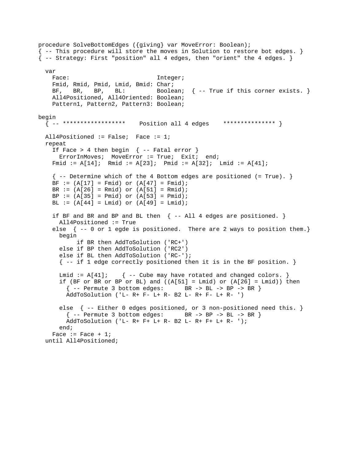```
procedure SolveBottomEdges ({giving} var MoveError: Boolean); 
{ -- This procedure will store the moves in Solution to restore bot edges. } 
{ -- Strategy: First "position" all 4 edges, then "orient" the 4 edges. } 
   var 
   Face: Integer;
    Fmid, Rmid, Pmid, Lmid, Bmid: Char; 
   BF, BR, BP, BL: Boolean; \{- True if this corner exists. \} All4Positioned, All4Oriented: Boolean; 
    Pattern1, Pattern2, Pattern3: Boolean; 
begin 
   { -- ****************** Position all 4 edges *************** } 
  All4Positioned := False; Face := 1; 
   repeat 
    If Face > 4 then begin \{ - - Fatal error \}ErrorInMoves; MoveError := True; Exit; end;
    Fmid := A[14]; Rmid := A[23]; Pmid := A[32]; Lmid := A[41]; 
    \{- - Determine which of the 4 Bottom edges are positioned (= True). }
    BF := (A[17] = Fmid) or (A[47] = Fmid);
    BR := (A[26] = Rmid) or (A[51] = Rmid);
    BP := (A[35] = Pmid) or (A[53] = Pmid);
   BL := (A[44] = Lmid) or (A[49] = Lmid);
    if BF and BR and BP and BL then \{ - - All 4 edges are positioned. \} All4Positioned := True 
    else \{ --0 \text{ or } 1 \text{ edge is positioned. There are } 2 \text{ ways to position them. } \} begin 
            if BR then AddToSolution ('RC+') 
       else if BP then AddToSolution ('RC2') 
       else if BL then AddToSolution ('RC-'); 
       { -- if 1 edge correctly positioned then it is in the BF position. } 
      Lmid := A[41]; { -- Cube may have rotated and changed colors. }
      if (BF or BR or BP or BL) and ((A[51] = Lmid) or (A[26] = Lmid)) then
       \{- - Permute 3 bottom edges: BR -> BL -> BP -> BR \} AddToSolution ('L- R+ F- L+ R- B2 L- R+ F- L+ R- ') 
       else { -- Either 0 edges positioned, or 3 non-positioned need this. } 
         { -- Permute 3 bottom edges: BR -> BP -> BL -> BR } 
         AddToSolution ('L- R+ F+ L+ R- B2 L- R+ F+ L+ R- '); 
       end; 
    Face := Face + 1;
   until All4Positioned;
```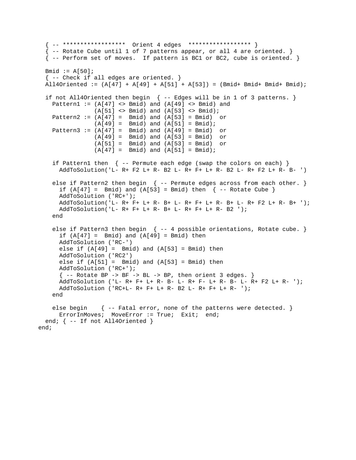```
 { -- ****************** Orient 4 edges ****************** } 
  {1 -} Rotate Cube until 1 of 7 patterns appear, or all 4 are oriented. }
   { -- Perform set of moves. If pattern is BC1 or BC2, cube is oriented. } 
  Bmid := A[50];
  \{- - Check if all edges are oriented. \}All4Oriented := (A[47] + A[49] + A[51] + A[53]) = (Bmid + Bmid + Bmid);
  if not All4Oriented then begin \{ - - Edges will be in 1 of 3 patterns. }
   Pattern1 := (A[47] \Leftrightarrow Bmid) and (A[49] \Leftrightarrow Bmid) and
                (A[51] \Leftrightarrow \text{Bmid}) and (A[53] \Leftrightarrow \text{Bmid});
    Pattern2 := (A[47] = Bmid) and (A[53] = Bmid) or
                (A[49] = Bmid) and (A[51] = Bmid);
    Pattern3 := (A[47] = Bmid) and (A[49] = Bmid) or
                 (A[49] = Bmid) and (A[53] = Bmid) or 
(A[51] = Bmid) and (A[53] = Bmid) or
(A[47] = Bmid) and (A[51] = Bmid);
    if Pattern1 then \{ -- Permute each edge (swap the colors on each) \} AddToSolution('L- R+ F2 L+ R- B2 L- R+ F+ L+ R- B2 L- R+ F2 L+ R- B- ') 
    else if Pattern2 then begin { -- Permute edges across from each other. }
      if (A[47] = Bmid) and (A[53] = Bmid) then \{- Rotate Cube }
       AddToSolution ('RC+'); 
       AddToSolution('L- R+ F+ L+ R- B+ L- R+ F+ L+ R- B+ L- R+ F2 L+ R- B+ '); 
      AddToSolution('L- R+ F+ L+ R- B+ L- R+ F+ L+ R- B2 '); 
     end 
    else if Pattern3 then begin \{- - 4 \text{ possible orientations}, \text{Rotate cube.}\}if (A[47] = Bmid) and (A[49] = Bmid) then
       AddToSolution ('RC-') 
      else if (A[49] = Bmid) and (A[53] = Bmid) then
       AddToSolution ('RC2') 
      else if (A[51] = Bmid) and (A[53] = Bmid) then
      AddToSolution ('RC+'); 
      \{- - \text{</mark> Rotate BP -> BF -> BL -> BP, then orient 3 edges. } AddToSolution ('L- R+ F+ L+ R- B- L- R+ F- L+ R- B- L- R+ F2 L+ R- '); 
      AddToSolution ('RC+L- R+ F+ L+ R- B2 L- R+ F+ L+ R- '); 
    end 
    else begin { -- Fatal error, none of the patterns were detected. }
     ErrorInMoves; MoveError := True; Exit; end;
   end; { -- If not All4Oriented } 
end;
```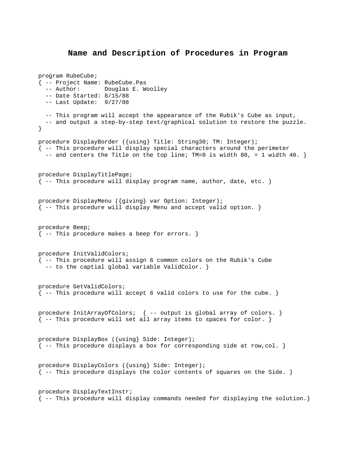#### **Name and Description of Procedures in Program**

```
program RubeCube; 
{ -- Project Name: RubeCube.Pas 
   -- Author: Douglas E. Woolley 
   -- Date Started: 8/15/88 
   -- Last Update: 9/27/88 
   -- This program will accept the appearance of the Rubik's Cube as input, 
   -- and output a step-by-step text/graphical solution to restore the puzzle. 
} 
procedure DisplayBorder ({using} Title: String30; TM: Integer); 
\{-- This procedure will display special characters around the perimeter
  -- and centers the Title on the top line; TM=0 is width 80, = 1 width 40.
procedure DisplayTitlePage; 
{ -- This procedure will display program name, author, date, etc. } 
procedure DisplayMenu ({giving} var Option: Integer); 
{ -- This procedure will display Menu and accept valid option. } 
procedure Beep; 
{ -- This procedure makes a beep for errors. } 
procedure InitValidColors; 
{ -- This procedure will assign 6 common colors on the Rubik's Cube 
   -- to the captial global variable ValidColor. } 
procedure GetValidColors; 
{ -- This procedure will accept 6 valid colors to use for the cube. } 
procedure InitArrayOfColors; { -- output is global array of colors. } 
{ -- This procedure will set all array items to spaces for color. } 
procedure DisplayBox ({using} Side: Integer); 
\{-- This procedure displays a box for corresponding side at row, col. \}procedure DisplayColors ({using} Side: Integer); 
\{ -- This procedure displays the color contents of squares on the Side. \}procedure DisplayTextInstr; 
{ -- This procedure will display commands needed for displaying the solution.}
```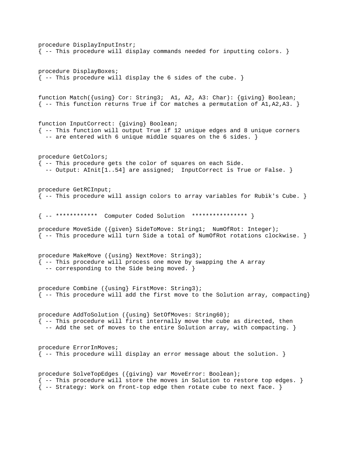```
procedure DisplayInputInstr; 
{ -- This procedure will display commands needed for inputting colors. } 
procedure DisplayBoxes; 
\{- - This procedure will display the 6 sides of the cube.
function Match({using} Cor: String3; A1, A2, A3: Char): {giving} Boolean; 
\{ -- This function returns True if Cor matches a permutation of A1,A2,A3. \}function InputCorrect: {giving} Boolean; 
{ -- This function will output True if 12 unique edges and 8 unique corners 
  -- are entered with 6 unique middle squares on the 6 sides. }
procedure GetColors; 
{ -- This procedure gets the color of squares on each Side. 
   -- Output: AInit[1..54] are assigned; InputCorrect is True or False. } 
procedure GetRCInput; 
{ -- This procedure will assign colors to array variables for Rubik's Cube. } 
{ -- ************ Computer Coded Solution **************** } 
procedure MoveSide ({given} SideToMove: String1; NumOfRot: Integer); 
{ -- This procedure will turn Side a total of NumOfRot rotations clockwise. } 
procedure MakeMove ({using} NextMove: String3); 
{ -- This procedure will process one move by swapping the A array 
   -- corresponding to the Side being moved. } 
procedure Combine ({using} FirstMove: String3); 
{ -- This procedure will add the first move to the Solution array, compacting} 
procedure AddToSolution ({using} SetOfMoves: String60); 
{ -- This procedure will first internally move the cube as directed, then 
  -- Add the set of moves to the entire Solution array, with compacting. }
procedure ErrorInMoves; 
{ -- This procedure will display an error message about the solution. } 
procedure SolveTopEdges ({giving} var MoveError: Boolean); 
{ -- This procedure will store the moves in Solution to restore top edges. } 
{ -- Strategy: Work on front-top edge then rotate cube to next face. }
```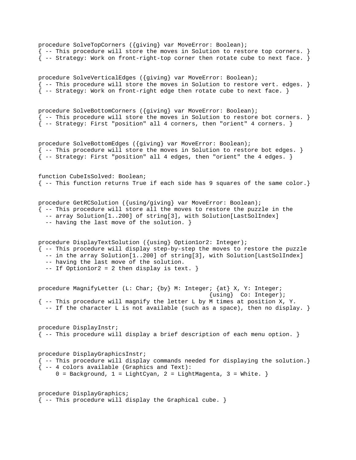procedure SolveTopCorners ({giving} var MoveError: Boolean); { -- This procedure will store the moves in Solution to restore top corners. } { -- Strategy: Work on front-right-top corner then rotate cube to next face. } procedure SolveVerticalEdges ({giving} var MoveError: Boolean); { -- This procedure will store the moves in Solution to restore vert. edges. } { -- Strategy: Work on front-right edge then rotate cube to next face. } procedure SolveBottomCorners ({giving} var MoveError: Boolean); { -- This procedure will store the moves in Solution to restore bot corners. } { -- Strategy: First "position" all 4 corners, then "orient" 4 corners. } procedure SolveBottomEdges ({giving} var MoveError: Boolean); { -- This procedure will store the moves in Solution to restore bot edges. } { -- Strategy: First "position" all 4 edges, then "orient" the 4 edges. } function CubeIsSolved: Boolean; { -- This function returns True if each side has 9 squares of the same color.} procedure GetRCSolution ({using/giving} var MoveError: Boolean); { -- This procedure will store all the moves to restore the puzzle in the -- array Solution[1..200] of string[3], with Solution[LastSolIndex] -- having the last move of the solution. } procedure DisplayTextSolution ({using} Option1or2: Integer); { -- This procedure will display step-by-step the moves to restore the puzzle -- in the array Solution[1..200] of string[3], with Solution[LastSolIndex] -- having the last move of the solution. -- If Option1or2 = 2 then display is text. } procedure MagnifyLetter (L: Char; {by} M: Integer; {at} X, Y: Integer; {using} Co: Integer); { -- This procedure will magnify the letter L by M times at position X, Y. -- If the character L is not available (such as a space), then no display. } procedure DisplayInstr; { -- This procedure will display a brief description of each menu option. } procedure DisplayGraphicsInstr; { -- This procedure will display commands needed for displaying the solution.} { -- 4 colors available (Graphics and Text):  $0 =$  Background,  $1 =$  LightCyan,  $2 =$  LightMagenta,  $3 =$  White. } procedure DisplayGraphics;  $\{- -$  This procedure will display the Graphical cube. }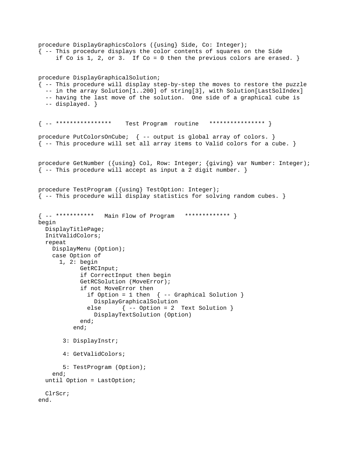```
procedure DisplayGraphicsColors ({using} Side, Co: Integer); 
{ -- This procedure displays the color contents of squares on the Side 
     if Co is 1, 2, or 3. If Co = 0 then the previous colors are erased. \}procedure DisplayGraphicalSolution; 
{ -- This procedure will display step-by-step the moves to restore the puzzle 
  -- in the array Solution[1..200] of string[3], with Solution[LastSolIndex]
   -- having the last move of the solution. One side of a graphical cube is 
   -- displayed. } 
{ -- **************** Test Program routine **************** } 
procedure PutColorsOnCube; { -- output is global array of colors. }
{ -- This procedure will set all array items to Valid colors for a cube. } 
procedure GetNumber ({using} Col, Row: Integer; {giving} var Number: Integer); 
\{-- This procedure will accept as input a 2 digit number. \}procedure TestProgram ({using} TestOption: Integer); 
{ -- This procedure will display statistics for solving random cubes. } 
{ -- *********** Main Flow of Program ************* } 
begin 
  DisplayTitlePage; 
   InitValidColors; 
   repeat 
     DisplayMenu (Option); 
     case Option of 
       1, 2: begin 
             GetRCInput; 
             if CorrectInput then begin 
             GetRCSolution (MoveError); 
             if not MoveError then 
              if Option = 1 then \{ - - Graphical Solution \} DisplayGraphicalSolution 
               else { -- Option = 2 Text Solution } 
                 DisplayTextSolution (Option) 
             end; 
           end; 
        3: DisplayInstr; 
        4: GetValidColors; 
        5: TestProgram (Option); 
     end; 
   until Option = LastOption; 
   ClrScr; 
end.
```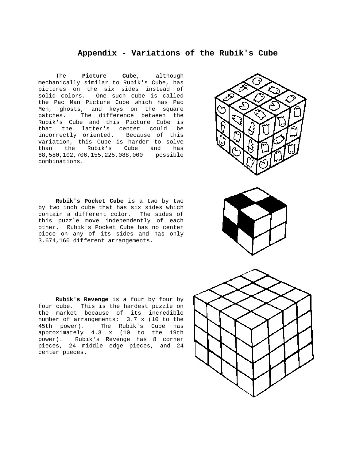#### **Appendix - Variations of the Rubik's Cube**

<span id="page-34-0"></span> The **Picture Cube**, although mechanically similar to Rubik's Cube, has pictures on the six sides instead of solid colors. One such cube is called the Pac Man Picture Cube which has Pac Men, ghosts, and keys on the square patches. The difference between the Rubik's Cube and this Picture Cube is that the latter's center could be incorrectly oriented. Because of this variation, this Cube is harder to solve than the Rubik's Cube and has 88,580,102,706,155,225,088,000 possible combinations.

 **Rubik's Pocket Cube** is a two by two by two inch cube that has six sides which contain a different color. The sides of this puzzle move independently of each other. Rubik's Pocket Cube has no center piece on any of its sides and has only 3,674,160 different arrangements.

 **Rubik's Revenge** is a four by four by four cube. This is the hardest puzzle on the market because of its incredible number of arrangements: 3.7 x (10 to the 45th power). The Rubik's Cube has approximately 4.3 x (10 to the 19th power). Rubik's Revenge has 8 corner pieces, 24 middle edge pieces, and 24 center pieces.





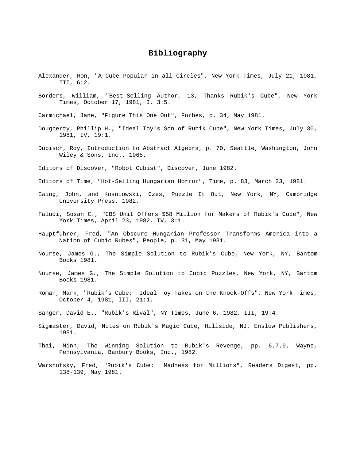## **Bibliography**

- <span id="page-35-0"></span>Alexander, Ron, "A Cube Popular in all Circles", New York Times, July 21, 1981, III, 6:2.
- Borders, William, "Best-Selling Author, 13, Thanks Rubik's Cube", New York Times, October 17, 1981, I, 3:5.
- Carmichael, Jane, "Figure This One Out", Forbes, p. 34, May 1981.
- Dougherty, Phillip H., "Ideal Toy's Son of Rubik Cube", New York Times, July 30, 1981, IV, 19:1.
- Dubisch, Roy, Introduction to Abstract Algebra, p. 70, Seattle, Washington, John Wiley & Sons, Inc., 1965.
- Editors of Discover, "Robot Cubist", Discover, June 1982.
- Editors of Time, "Hot-Selling Hungarian Horror", Time, p. 83, March 23, 1981.
- Ewing, John, and Kosniowski, Czes, Puzzle It Out, New York, NY, Cambridge University Press, 1982.
- Faludi, Susan C., "CBS Unit Offers \$58 Million for Makers of Rubik's Cube", New York Times, April 23, 1982, IV, 3:1.
- Hauptfuhrer, Fred, "An Obscure Hungarian Professor Transforms America into a Nation of Cubic Rubes", People, p. 31, May 1981.
- Nourse, James G., The Simple Solution to Rubik's Cube, New York, NY, Bantom Books 1981.
- Nourse, James G., The Simple Solution to Cubic Puzzles, New York, NY, Bantom Books 1981.
- Roman, Mark, "Rubik's Cube: Ideal Toy Takes on the Knock-Offs", New York Times, October 4, 1981, III, 21:1.
- Sanger, David E., "Rubik's Rival", NY Times, June 6, 1982, III, 19:4.
- Sigmaster, David, Notes on Rubik's Magic Cube, Hillside, NJ, Enslow Publishers, 1981.
- Thai, Minh, The Winning Solution to Rubik's Revenge, pp. 6,7,9, Wayne, Pennsylvania, Banbury Books, Inc., 1982.
- Warshofsky, Fred, "Rubik's Cube: Madness for Millions", Readers Digest, pp. 138-139, May 1981.